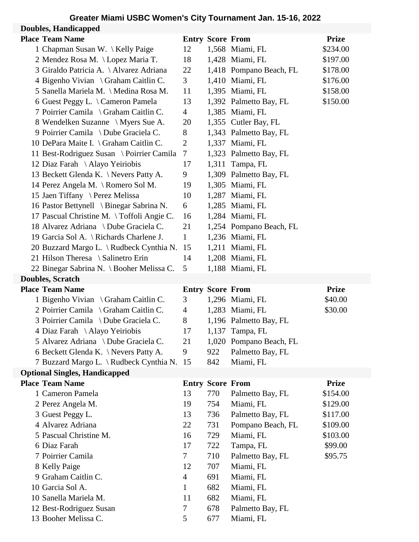## **Greater Miami USBC Women's City Tournament Jan. 15-16, 2022**

| <b>Doubles, Handicappe</b> |
|----------------------------|
|                            |

| <b>Doubles, Handicapped</b> |                                           |                |                         |                         |              |  |
|-----------------------------|-------------------------------------------|----------------|-------------------------|-------------------------|--------------|--|
|                             | <b>Place Team Name</b>                    |                | <b>Entry Score From</b> |                         | <b>Prize</b> |  |
|                             | 1 Chapman Susan W. \ Kelly Paige          | 12             |                         | 1,568 Miami, FL         | \$234.00     |  |
|                             | 2 Mendez Rosa M. \Lopez Maria T.          | 18             |                         | 1,428 Miami, FL         | \$197.00     |  |
|                             | 3 Giraldo Patricia A. \ Alvarez Adriana   | 22             |                         | 1,418 Pompano Beach, FL | \$178.00     |  |
|                             | 4 Bigenho Vivian \ Graham Caitlin C.      | 3 <sup>1</sup> |                         | 1,410 Miami, FL         | \$176.00     |  |
|                             | 5 Sanella Mariela M. \ Medina Rosa M.     | 11             |                         | 1,395 Miami, FL         | \$158.00     |  |
|                             | 6 Guest Peggy L. \ Cameron Pamela         | 13             |                         | 1,392 Palmetto Bay, FL  | \$150.00     |  |
|                             | 7 Poirrier Camila \ Graham Caitlin C.     | $\overline{4}$ |                         | 1,385 Miami, FL         |              |  |
|                             | 8 Wendelken Suzanne \ Myers Sue A.        | 20             |                         | 1,355 Cutler Bay, FL    |              |  |
|                             | 9 Poirrier Camila \ Dube Graciela C.      | 8              |                         | 1,343 Palmetto Bay, FL  |              |  |
|                             | 10 DePara Maite I. \ Graham Caitlin C.    | $\overline{2}$ |                         | 1,337 Miami, FL         |              |  |
|                             | 11 Best-Rodriguez Susan \ Poirrier Camila | $\tau$         |                         | 1,323 Palmetto Bay, FL  |              |  |
|                             | 12 Diaz Farah \ Alayo Yeiriobis           | 17             |                         | 1,311 Tampa, FL         |              |  |
|                             | 13 Beckett Glenda K. \Nevers Patty A.     | 9              |                         | 1,309 Palmetto Bay, FL  |              |  |
|                             | 14 Perez Angela M. \ Romero Sol M.        | 19             |                         | 1,305 Miami, FL         |              |  |
|                             | 15 Jaen Tiffany \ Perez Melissa           | 10             |                         | 1,287 Miami, FL         |              |  |
|                             | 16 Pastor Bettynell \ Binegar Sabrina N.  | 6              |                         | 1,285 Miami, FL         |              |  |
|                             | 17 Pascual Christine M. \Toffoli Angie C. | 16             |                         | 1,284 Miami, FL         |              |  |
|                             | 18 Alvarez Adriana \ Dube Graciela C.     | 21             |                         | 1,254 Pompano Beach, FL |              |  |
|                             | 19 Garcia Sol A. \ Richards Charlene J.   | $\mathbf{1}$   |                         | 1,236 Miami, FL         |              |  |
|                             | 20 Buzzard Margo L. \Rudbeck Cynthia N.   | 15             |                         | 1,211 Miami, FL         |              |  |
|                             | 21 Hilson Theresa \ Salinetro Erin        | 14             |                         | 1,208 Miami, FL         |              |  |
|                             | 22 Binegar Sabrina N. \ Booher Melissa C. | 5              |                         | 1,188 Miami, FL         |              |  |
| <b>Doubles, Scratch</b>     |                                           |                |                         |                         |              |  |
|                             |                                           |                |                         |                         |              |  |
|                             | <b>Place Team Name</b>                    |                | <b>Entry Score From</b> |                         | <b>Prize</b> |  |
|                             | 1 Bigenho Vivian \ Graham Caitlin C.      | 3              |                         | 1,296 Miami, FL         | \$40.00      |  |
|                             | 2 Poirrier Camila \ Graham Caitlin C.     | 4              |                         | 1,283 Miami, FL         | \$30.00      |  |
|                             | 3 Poirrier Camila \ Dube Graciela C.      | 8              |                         | 1,196 Palmetto Bay, FL  |              |  |
|                             | 4 Diaz Farah \Alayo Yeiriobis             | 17             |                         | 1,137 Tampa, FL         |              |  |
|                             | 5 Alvarez Adriana \ Dube Graciela C.      | 21             | 1,020                   | Pompano Beach, FL       |              |  |
|                             | 6 Beckett Glenda K. \Nevers Patty A.      | 9              | 922                     | Palmetto Bay, FL        |              |  |
|                             | 7 Buzzard Margo L. \Rudbeck Cynthia N.    | 15             | 842                     | Miami, FL               |              |  |
|                             | <b>Optional Singles, Handicapped</b>      |                |                         |                         |              |  |
|                             | <b>Place Team Name</b>                    |                | <b>Entry Score From</b> |                         | <b>Prize</b> |  |
|                             | 1 Cameron Pamela                          | 13             | 770                     | Palmetto Bay, FL        | \$154.00     |  |
|                             | 2 Perez Angela M.                         | 19             | 754                     | Miami, FL               | \$129.00     |  |
|                             | 3 Guest Peggy L.                          | 13             | 736                     | Palmetto Bay, FL        | \$117.00     |  |
|                             | 4 Alvarez Adriana                         | 22             | 731                     | Pompano Beach, FL       | \$109.00     |  |
|                             | 5 Pascual Christine M.                    | 16             | 729                     | Miami, FL               | \$103.00     |  |
|                             | 6 Diaz Farah                              | 17             | 722                     | Tampa, FL               | \$99.00      |  |
|                             | 7 Poirrier Camila                         | 7              | 710                     | Palmetto Bay, FL        | \$95.75      |  |
|                             | 8 Kelly Paige                             | 12             | 707                     | Miami, FL               |              |  |
|                             | 9 Graham Caitlin C.                       | $\overline{4}$ | 691                     | Miami, FL               |              |  |
|                             | 10 Garcia Sol A.                          | 1              | 682                     | Miami, FL               |              |  |
|                             | 10 Sanella Mariela M.                     | 11             | 682                     | Miami, FL               |              |  |
|                             | 12 Best-Rodriguez Susan                   | 7              | 678                     | Palmetto Bay, FL        |              |  |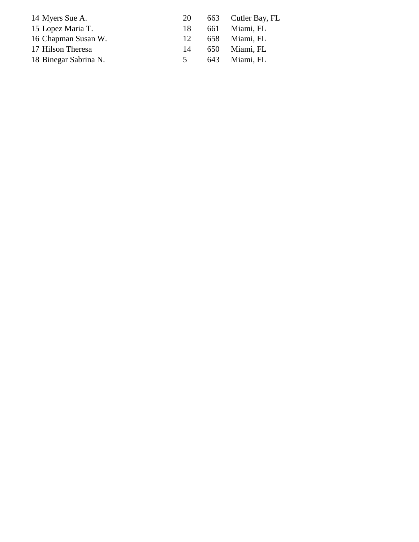| 14 Myers Sue A.       | 20             | 663 Cutler Bay, FL |
|-----------------------|----------------|--------------------|
| 15 Lopez Maria T.     | 18             | 661 Miami, FL      |
| 16 Chapman Susan W.   | 12             | 658 Miami, FL      |
| 17 Hilson Theresa     | 14             | 650 Miami, FL      |
| 18 Binegar Sabrina N. | 5 <sup>1</sup> | 643 Miami, FL      |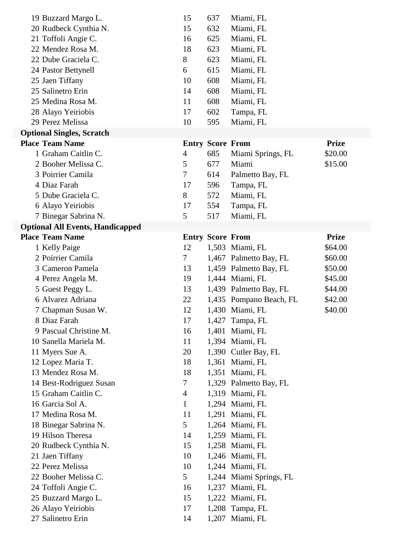| 19 Buzzard Margo L.                     | 15                      | 637 | Miami, FL               |              |
|-----------------------------------------|-------------------------|-----|-------------------------|--------------|
| 20 Rudbeck Cynthia N.                   | 15                      | 632 | Miami, FL               |              |
| 21 Toffoli Angie C.                     | 16                      | 625 | Miami, FL               |              |
| 22 Mendez Rosa M.                       | 18                      | 623 | Miami, FL               |              |
| 22 Dube Graciela C.                     | 8                       | 623 | Miami, FL               |              |
| 24 Pastor Bettynell                     | 6                       | 615 | Miami, FL               |              |
| 25 Jaen Tiffany                         | 10                      | 608 | Miami, FL               |              |
| 25 Salinetro Erin                       | 14                      | 608 | Miami, FL               |              |
| 25 Medina Rosa M.                       | 11                      | 608 | Miami, FL               |              |
| 28 Alayo Yeiriobis                      | 17                      | 602 | Tampa, FL               |              |
| 29 Perez Melissa                        | 10                      | 595 | Miami, FL               |              |
| <b>Optional Singles, Scratch</b>        |                         |     |                         |              |
| <b>Place Team Name</b>                  | <b>Entry Score From</b> |     |                         | <b>Prize</b> |
| 1 Graham Caitlin C.                     | $\overline{4}$          | 685 | Miami Springs, FL       | \$20.00      |
| 2 Booher Melissa C.                     | 5                       | 677 | Miami                   | \$15.00      |
| 3 Poirrier Camila                       | 7                       | 614 | Palmetto Bay, FL        |              |
| 4 Diaz Farah                            | 17                      | 596 | Tampa, FL               |              |
| 5 Dube Graciela C.                      | 8                       | 572 | Miami, FL               |              |
| 6 Alayo Yeiriobis                       | 17                      | 554 | Tampa, FL               |              |
| 7 Binegar Sabrina N.                    | 5                       | 517 | Miami, FL               |              |
| <b>Optional All Events, Handicapped</b> |                         |     |                         |              |
| <b>Place Team Name</b>                  | <b>Entry Score From</b> |     |                         | <b>Prize</b> |
| 1 Kelly Paige                           | 12                      |     | 1,503 Miami, FL         | \$64.00      |
| 2 Poirrier Camila                       | 7                       |     | 1,467 Palmetto Bay, FL  | \$60.00      |
| 3 Cameron Pamela                        | 13                      |     | 1,459 Palmetto Bay, FL  | \$50.00      |
| 4 Perez Angela M.                       | 19                      |     | 1,444 Miami, FL         | \$45.00      |
| 5 Guest Peggy L.                        | 13                      |     | 1,439 Palmetto Bay, FL  | \$44.00      |
| 6 Alvarez Adriana                       | 22                      |     | 1,435 Pompano Beach, FL | \$42.00      |
| 7 Chapman Susan W.                      | 12                      |     | 1,430 Miami, FL         | \$40.00      |
| 8 Diaz Farah                            | 17                      |     | 1,427 Tampa, FL         |              |
| 9 Pascual Christine M.                  | 16                      |     | 1,401 Miami, FL         |              |
| 10 Sanella Mariela M.                   | 11                      |     | 1,394 Miami, FL         |              |
| 11 Myers Sue A.                         | 20                      |     | 1,390 Cutler Bay, FL    |              |
| 12 Lopez Maria T.                       | 18                      |     | 1,361 Miami, FL         |              |
| 13 Mendez Rosa M.                       | 18                      |     | 1,351 Miami, FL         |              |
| 14 Best-Rodriguez Susan                 | 7                       |     | 1,329 Palmetto Bay, FL  |              |
| 15 Graham Caitlin C.                    | 4                       |     | 1,319 Miami, FL         |              |
| 16 Garcia Sol A.                        | 1                       |     | 1,294 Miami, FL         |              |
| 17 Medina Rosa M.                       | 11                      |     | 1,291 Miami, FL         |              |
| 18 Binegar Sabrina N.                   | 5                       |     | 1,264 Miami, FL         |              |
| 19 Hilson Theresa                       | 14                      |     | 1,259 Miami, FL         |              |
| 20 Rudbeck Cynthia N.                   | 15                      |     | 1,258 Miami, FL         |              |
| 21 Jaen Tiffany                         | 10                      |     | 1,246 Miami, FL         |              |
| 22 Perez Melissa                        | 10                      |     | 1,244 Miami, FL         |              |
| 22 Booher Melissa C.                    | 5                       |     | 1,244 Miami Springs, FL |              |
| 24 Toffoli Angie C.                     | 16                      |     | 1,237 Miami, FL         |              |
| 25 Buzzard Margo L.                     | 15                      |     | 1,222 Miami, FL         |              |
| 26 Alayo Yeiriobis                      | 17                      |     | 1,208 Tampa, FL         |              |
|                                         |                         |     |                         |              |
| 27 Salinetro Erin                       | 14                      |     | 1,207 Miami, FL         |              |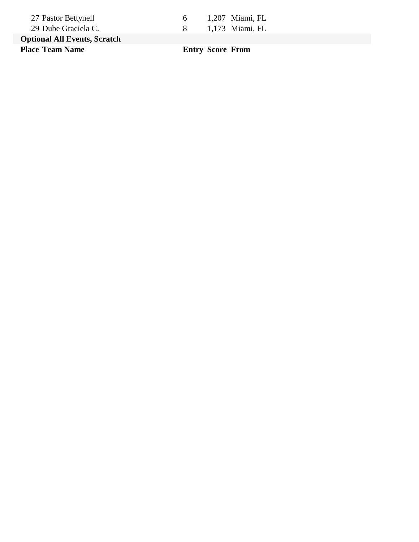| 27 Pastor Bettynell                 | 6 | 1,207 Miami, FL |
|-------------------------------------|---|-----------------|
| 29 Dube Graciela C.                 |   | 1,173 Miami, FL |
| <b>Optional All Events, Scratch</b> |   |                 |

**Place Team Name Entry Score From**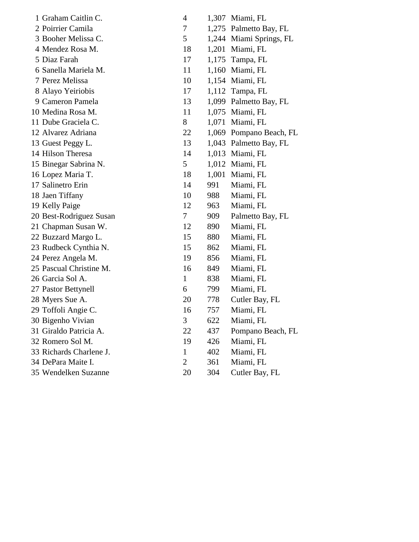| 1 Graham Caitlin C.     | 4              |       | 1,307 Miami, FL         |
|-------------------------|----------------|-------|-------------------------|
| 2 Poirrier Camila       | 7              |       | 1,275 Palmetto Bay, FL  |
| 3 Booher Melissa C.     | 5              |       | 1,244 Miami Springs, FL |
| 4 Mendez Rosa M.        | 18             | 1,201 | Miami, FL               |
| 5 Diaz Farah            | 17             |       | 1,175 Tampa, FL         |
| 6 Sanella Mariela M.    | 11             |       | 1,160 Miami, FL         |
| 7 Perez Melissa         | 10             |       | 1,154 Miami, FL         |
| 8 Alayo Yeiriobis       | 17             |       | 1,112 Tampa, FL         |
| 9 Cameron Pamela        | 13             |       | 1,099 Palmetto Bay, FL  |
| 10 Medina Rosa M.       | 11             |       | 1,075 Miami, FL         |
| 11 Dube Graciela C.     | 8              |       | 1,071 Miami, FL         |
| 12 Alvarez Adriana      | 22             |       | 1,069 Pompano Beach, FL |
| 13 Guest Peggy L.       | 13             |       | 1,043 Palmetto Bay, FL  |
| 14 Hilson Theresa       | 14             |       | 1,013 Miami, FL         |
| 15 Binegar Sabrina N.   | 5              |       | 1,012 Miami, FL         |
| 16 Lopez Maria T.       | 18             |       | 1,001 Miami, FL         |
| 17 Salinetro Erin       | 14             | 991   | Miami, FL               |
| 18 Jaen Tiffany         | 10             | 988   | Miami, FL               |
| 19 Kelly Paige          | 12             | 963   | Miami, FL               |
| 20 Best-Rodriguez Susan | 7              | 909   | Palmetto Bay, FL        |
| 21 Chapman Susan W.     | 12             | 890   | Miami, FL               |
| 22 Buzzard Margo L.     | 15             | 880   | Miami, FL               |
| 23 Rudbeck Cynthia N.   | 15             | 862   | Miami, FL               |
| 24 Perez Angela M.      | 19             | 856   | Miami, FL               |
| 25 Pascual Christine M. | 16             | 849   | Miami, FL               |
| 26 Garcia Sol A.        | $\mathbf{1}$   | 838   | Miami, FL               |
| 27 Pastor Bettynell     | 6              | 799   | Miami, FL               |
| 28 Myers Sue A.         | 20             | 778   | Cutler Bay, FL          |
| 29 Toffoli Angie C.     | 16             | 757   | Miami, FL               |
| 30 Bigenho Vivian       | 3              | 622   | Miami, FL               |
| 31 Giraldo Patricia A.  | 22             | 437   | Pompano Beach, FL       |
| 32 Romero Sol M.        | 19             | 426   | Miami, FL               |
| 33 Richards Charlene J. | $\mathbf{1}$   | 402   | Miami, FL               |
| 34 DePara Maite I.      | $\overline{2}$ | 361   | Miami, FL               |
| 35 Wendelken Suzanne    | 20             | 304   | Cutler Bay, FL          |
|                         |                |       |                         |